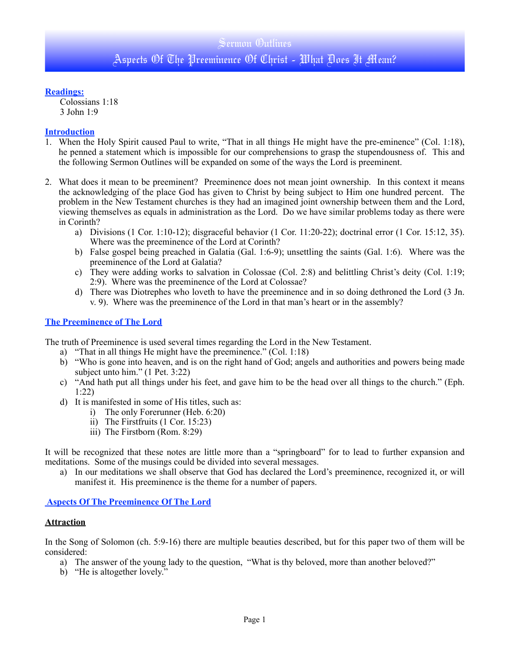#### **Readings:**

Colossians 1:18 3 John 1:9

## **Introduction**

- 1. When the Holy Spirit caused Paul to write, "That in all things He might have the pre-eminence" (Col. 1:18), he penned a statement which is impossible for our comprehensions to grasp the stupendousness of. This and the following Sermon Outlines will be expanded on some of the ways the Lord is preeminent.
- 2. What does it mean to be preeminent? Preeminence does not mean joint ownership. In this context it means the acknowledging of the place God has given to Christ by being subject to Him one hundred percent. The problem in the New Testament churches is they had an imagined joint ownership between them and the Lord, viewing themselves as equals in administration as the Lord. Do we have similar problems today as there were in Corinth?
	- a) Divisions (1 Cor. 1:10-12); disgraceful behavior (1 Cor. 11:20-22); doctrinal error (1 Cor. 15:12, 35). Where was the preeminence of the Lord at Corinth?
	- b) False gospel being preached in Galatia (Gal. 1:6-9); unsettling the saints (Gal. 1:6). Where was the preeminence of the Lord at Galatia?
	- c) They were adding works to salvation in Colossae (Col. 2:8) and belittling Christ's deity (Col. 1:19; 2:9). Where was the preeminence of the Lord at Colossae?
	- d) There was Diotrephes who loveth to have the preeminence and in so doing dethroned the Lord (3 Jn. v. 9). Where was the preeminence of the Lord in that man's heart or in the assembly?

### **The Preeminence of The Lord**

The truth of Preeminence is used several times regarding the Lord in the New Testament.

- a) "That in all things He might have the preeminence." (Col. 1:18)
- b) "Who is gone into heaven, and is on the right hand of God; angels and authorities and powers being made subject unto him." (1 Pet. 3:22)
- c) "And hath put all things under his feet, and gave him to be the head over all things to the church." (Eph. 1:22)
- d) It is manifested in some of His titles, such as:
	- i) The only Forerunner (Heb. 6:20)
	- ii) The Firstfruits (1 Cor. 15:23)
	- iii) The Firstborn (Rom. 8:29)

It will be recognized that these notes are little more than a "springboard" for to lead to further expansion and meditations. Some of the musings could be divided into several messages.

a) In our meditations we shall observe that God has declared the Lord's preeminence, recognized it, or will manifest it. His preeminence is the theme for a number of papers.

#### **Aspects Of The Preeminence Of The Lord**

#### **Attraction**

In the Song of Solomon (ch. 5:9-16) there are multiple beauties described, but for this paper two of them will be considered:

- a) The answer of the young lady to the question, "What is thy beloved, more than another beloved?"
- b) "He is altogether lovely."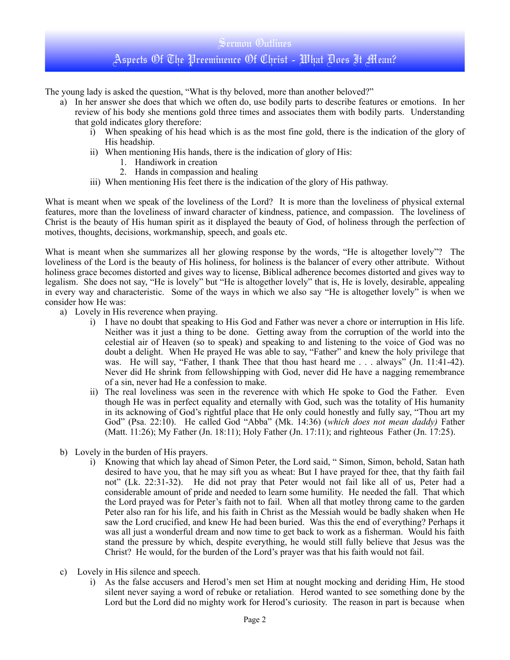# Sermon Outlines Aspects Of The Preeminence Of Christ - What Does It Mean?

The young lady is asked the question, "What is thy beloved, more than another beloved?"

- a) In her answer she does that which we often do, use bodily parts to describe features or emotions. In her review of his body she mentions gold three times and associates them with bodily parts. Understanding that gold indicates glory therefore:
	- i) When speaking of his head which is as the most fine gold, there is the indication of the glory of His headship.
	- ii) When mentioning His hands, there is the indication of glory of His:
		- 1. Handiwork in creation
		- 2. Hands in compassion and healing
	- iii) When mentioning His feet there is the indication of the glory of His pathway.

What is meant when we speak of the loveliness of the Lord? It is more than the loveliness of physical external features, more than the loveliness of inward character of kindness, patience, and compassion. The loveliness of Christ is the beauty of His human spirit as it displayed the beauty of God, of holiness through the perfection of motives, thoughts, decisions, workmanship, speech, and goals etc.

What is meant when she summarizes all her glowing response by the words, "He is altogether lovely"? The loveliness of the Lord is the beauty of His holiness, for holiness is the balancer of every other attribute. Without holiness grace becomes distorted and gives way to license, Biblical adherence becomes distorted and gives way to legalism. She does not say, "He is lovely" but "He is altogether lovely" that is, He is lovely, desirable, appealing in every way and characteristic. Some of the ways in which we also say "He is altogether lovely" is when we consider how He was:

- a) Lovely in His reverence when praying.
	- i) I have no doubt that speaking to His God and Father was never a chore or interruption in His life. Neither was it just a thing to be done. Getting away from the corruption of the world into the celestial air of Heaven (so to speak) and speaking to and listening to the voice of God was no doubt a delight. When He prayed He was able to say, "Father" and knew the holy privilege that was. He will say, "Father, I thank Thee that thou hast heard me . . . always" (Jn. 11:41-42). Never did He shrink from fellowshipping with God, never did He have a nagging remembrance of a sin, never had He a confession to make.
	- ii) The real loveliness was seen in the reverence with which He spoke to God the Father. Even though He was in perfect equality and eternally with God, such was the totality of His humanity in its acknowing of God's rightful place that He only could honestly and fully say, "Thou art my God" (Psa. 22:10). He called God "Abba" (Mk. 14:36) (*which does not mean daddy)* Father (Matt. 11:26); My Father (Jn. 18:11); Holy Father (Jn. 17:11); and righteous Father (Jn. 17:25).
- b) Lovely in the burden of His prayers.
	- i) Knowing that which lay ahead of Simon Peter, the Lord said, " Simon, Simon, behold, Satan hath desired to have you, that he may sift you as wheat: But I have prayed for thee, that thy faith fail not" (Lk. 22:31-32). He did not pray that Peter would not fail like all of us, Peter had a considerable amount of pride and needed to learn some humility. He needed the fall. That which the Lord prayed was for Peter's faith not to fail. When all that motley throng came to the garden Peter also ran for his life, and his faith in Christ as the Messiah would be badly shaken when He saw the Lord crucified, and knew He had been buried. Was this the end of everything? Perhaps it was all just a wonderful dream and now time to get back to work as a fisherman. Would his faith stand the pressure by which, despite everything, he would still fully believe that Jesus was the Christ? He would, for the burden of the Lord's prayer was that his faith would not fail.
- c) Lovely in His silence and speech.
	- i) As the false accusers and Herod's men set Him at nought mocking and deriding Him, He stood silent never saying a word of rebuke or retaliation. Herod wanted to see something done by the Lord but the Lord did no mighty work for Herod's curiosity. The reason in part is because when